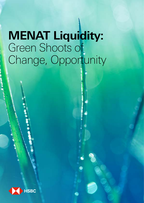# **MENAT Liquidity:**  Green Shoots of Change, Opportunity

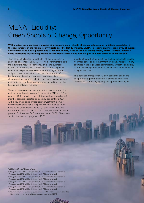## MENAT Liquidity: Green Shoots of Change, Opportunity

**With gradual but directionally upward oil prices and green shoots of various reforms and initiatives undertaken by the governments in the region clearly visible over the last 12 months, MENAT1 presents an interesting array of current opportunities and future possibilities. Siddharth Rungta, Head of Product Management, MENAT at HSBC outlines some interesting liquidity opportunities for corporate treasuries in the region and how they can be maximised.**

The free fall of oil prices through 2014-15 led to economic and fiscal challenges in MENAT, forcing governments to take the initiative to reduce dependency on oil and businesses to focus on efficiency and optimisation. With the significant recovery in oil prices, some countries in the region, such as Egypt, have recently improved their fiscal positions<sup>2</sup>. Furthermore, these improvements have taken place alongside other reforms, including measures to ease business registration, strengthen investor protection and improve the functioning of labour markets<sup>3</sup>.

These encouraging steps are among the reasons supporting regional growth projections of 3 per cent for 2018 and 3.2 per cent by 20204 . Growth in the Gulf Cooperation Council (GCC) member states is expected to reach 2.7 per cent by 2020<sup>5</sup>, with a key driver being infrastructure investment. Some of this is directly attributable to specific events, such as Dubai Expo 2020, Qatar World Cup 2022, Saudi Vision 2030 and the introduction of VAT by GCC members, but some are more generic. For instance, GCC members spent USD392.2bn across 1424 active transport projects in 2017<sup>6</sup>.

Coupling this with other initiatives, such as projects to develop free trade zones and e-government efficiency initiatives, many countries in the region look commercially attractive and policy reforms have helped boost domestic business confidence and foreign investment.

This transition from previously slow economic conditions to a promising growth trajectory is driving an interesting combination of treasury liquidity management strategies.

#### 1 Middle East North Africa and Turkey

2 http://pubdocs.worldbank.org/en/124691512062603210/Global-Economic-Prospects-Jan-2018-Middle-East-and-North-Africa-analysis.pdf 3http://pubdocs.worldbank.org/en/124691512062603210/Global-Economic-Prospects-Jan-2018-Middle-East-and-North-Africa-analysis.pdf 4http://pubdocs.worldbank.org/en/124691512062603210/Global-Economic-Prospects-Jan-2018-Middle-East-and-North-Africa-analysis.pdf 5http://pubdocs.worldbank.org/en/124691512062603210/Global-Economic-Prospects-Jan-2018-Middle-East-and-North-Africa-analysis.pdf

6http://www.numov.org/index.php/de/component/docman/doc\_download/1829 wirtschaftsforum-nah-und-mittelost-ausgabe-maerz-april-2018

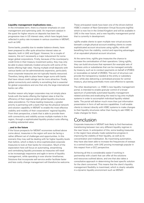#### **Liquidity management implications now...**

In the immediate term, there is a heavier emphasis on cost management and optimising yield. An important catalyst in the quest for higher returns on deposits has been the progressive rises in US interest rates, which have largely been reflected in policy rate increases in various countries in MENAT, such as UAE.

Some banks, possibly due to weaker balance sheets, have been prepared to offer quite attractive interest rates on deposits, both in UAE and Egypt. However, for a couple of reasons, this isn't necessarily a major inducement for some larger global corporations. Firstly, because of the counterparty credit limits in their treasury investment policy, they may only be able to place relatively modest amounts with some of the banks offering high rates. Having multiple small deposits with various banks can be administratively expensive, particularly since corporate treasuries are not typically heavily resourced. Therefore, being able to place fewer larger sums with banks that have robust credit ratings can be more attractive. Finally, global connectivity and visibility is something that is essential for global corporations and one that only the large international banks can offer.

Another reason why larger corporates may not simply place funds with the banks offering the highest rates is that the efficiency of their regional and/or global liquidity structures takes precedence. For these leading treasuries, a greater priority is partnering with a bank that has the physical network and solution capability in MENAT to enable the most effective visibility and mobility of their corporations' regional liquidity. From their perspective, a bank that is able to provide them with connectivity and visibility across multiple markets in the region, through a sophisticated liquidity product suite offering, is adding substantial value.

#### **...and in the future**

If the future prospects for MENAT economies outlined above come about, treasuries in the region will soon be facing a rather different set of challenges and opportunities. In this scenario they may well be dealing with far higher liquidity levels than before, which is likely to drive sophisticated corporate treasuries to look at their banks for innovation. Much of the expectation here will focus on automating, streamlining and centralising liquidity processes as treasuries will need to be increasingly responsive and agile in terms of liquidity management, while operating in ever shorter timeframes. Solutions that incorporate self-service and/or facilitate faster and less costly change management will therefore be welcome. These anticipated needs have been one of the drivers behind HSBC's creation of Next Generation Virtual Accounts (ngVAs) which is now live in the United Kingdom and will be available in UAE in the near future, and a new liquidity management portal that is currently in development.

ngVAs enable clients to open multiple new virtual accounts beneath a single physical account enabling clients to create sophisticated account structures using ngVAs, while still benefiting from the visibility, control and reporting advantages of an equivalent physical account structure.

At the same time, ngVAs give treasuries the chance to increase the centralisation of their operations. Using ngVAs, they can build structures that represent (for example) sets of business units or subsidiaries that can be managed centrally by treasury, such as to conduct payments on behalf of (POBO) or receivables on behalf of (ROBO). This sort of structure can provide the transparency needed at the entity or subsidiary level, while also delivering a centralised process for central treasury, plus being potentially more cost-effective to operate.

The other development, i.e. HSBC's new liquidity management portal, is intended to enable granular control of a broad spectrum of potentially automated liquidity management related activities and eradicating the need to log onto multiple systems in order to accomplish individual liquidity related tasks. The portal will deliver much more than just information presentation in form of self-service capabilities. It will enable clients to interact directly with HSBC systems to make changes to their liquidity structures rather than having to ask HSBC to make changes for them.

### Conclusion

Corporate treasuries in MENAT look likely to find themselves transitioning between two very different liquidity regimes in the near future. In anticipation of this, some leading treasuries in the region have already made substantive progress in improving the visibility of their liquidity, as well as its concentration and mobilisation. By maximising automation, they have also been able to increase the frequencies of sweeps to a central location, with UAE proving increasingly popular in this respect from a GCC perspective.

Achieving all this is considerably easier if working in partnership with a bank that can offer all the solutions and resources outlined above, and one that also takes a consultative approach in determining the best specific solution for the client concerned. This means that the client's liquidity management flexibility is maximised, which is clearly valuable in a dynamic liquidity environment such as MENAT.